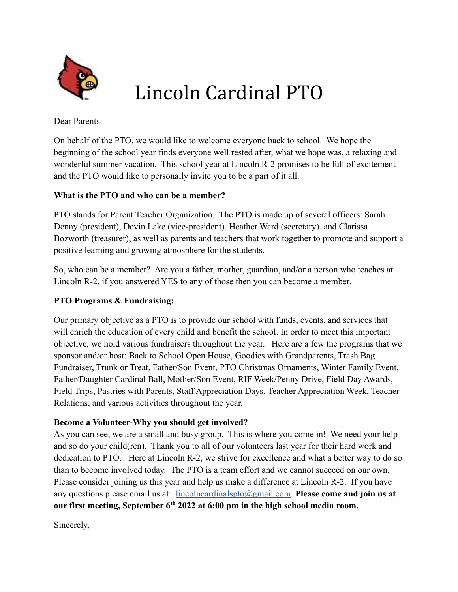

## Lincoln Cardinal PTO

Dear Parents:

On behalf of the PTO, we would like to welcome everyone back to school. We hope the beginning of the school year finds everyone well rested after, what we hope was, a relaxing and wonderful summer vacation. This school year at Lincoln R-2 promises to be full of excitement and the PTO would like to personally invite you to be a part of it all.

## **What is the PTO and who can be a member?**

PTO stands for Parent Teacher Organization. The PTO is made up of several officers: Sarah Denny (president), Devin Lake (vice-president), Heather Ward (secretary), and Clarissa Bozworth (treasurer), as well as parents and teachers that work together to promote and support a positive learning and growing atmosphere for the students.

So, who can be a member? Are you a father, mother, guardian, and/or a person who teaches at Lincoln R-2, if you answered YES to any of those then you can become a member.

## **PTO Programs & Fundraising:**

Our primary objective as a PTO is to provide our school with funds, events, and services that will enrich the education of every child and benefit the school. In order to meet this important objective, we hold various fundraisers throughout the year. Here are a few the programs that we sponsor and/or host: Back to School Open House, Goodies with Grandparents, Trash Bag Fundraiser, Trunk or Treat, Father/Son Event, PTO Christmas Ornaments, Winter Family Event, Father/Daughter Cardinal Ball, Mother/Son Event, RIF Week/Penny Drive, Field Day Awards, Field Trips, Pastries with Parents, Staff Appreciation Days, Teacher Appreciation Week, Teacher Relations, and various activities throughout the year.

## **Become a Volunteer-Why you should get involved?**

As you can see, we are a small and busy group. This is where you come in! We need your help and so do your child(ren). Thank you to all of our volunteers last year for their hard work and dedication to PTO. Here at Lincoln R-2, we strive for excellence and what a better way to do so than to become involved today. The PTO is a team effort and we cannot succeed on our own. Please consider joining us this year and help us make a difference at Lincoln R-2. If you have any questions please email us at: [lincolncardinalspto@gmail.com.](mailto:lincolncardinalspto@gmail.com) **Please come and join us at our first meeting, September 6th 2022 at 6:00 pm in the high school media room.**

Sincerely,